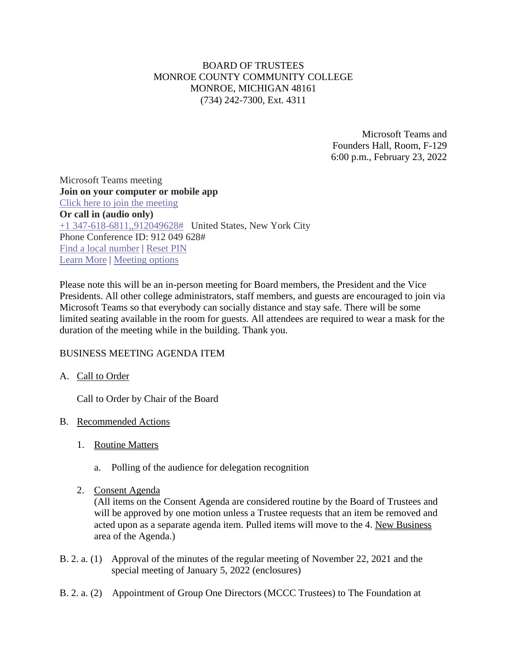# BOARD OF TRUSTEES MONROE COUNTY COMMUNITY COLLEGE MONROE, MICHIGAN 48161 (734) 242-7300, Ext. 4311

Microsoft Teams and Founders Hall, Room, F-129 6:00 p.m., February 23, 2022

Microsoft Teams meeting **Join on your computer or mobile app**  [Click here to join the meeting](https://teams.microsoft.com/l/meetup-join/19%3ameeting_ZTUxN2Q2OTgtYTRlYy00ODI4LWEzMTAtODI2ZWQzYjllMTMy%40thread.v2/0?context=%7b%22Tid%22%3a%2276f58c37-4ccb-4953-8754-48d3ac2857e6%22%2c%22Oid%22%3a%22cfa62792-2f83-486c-8009-c76a92253031%22%7d) **Or call in (audio only)** [+1 347-618-6811,,912049628#](tel:+13476186811,,912049628# ) United States, New York City Phone Conference ID: 912 049 628# [Find a local number](https://dialin.teams.microsoft.com/0a5b3283-82d4-44a2-a3da-3e0ac96718dd?id=912049628) | [Reset PIN](https://mysettings.lync.com/pstnconferencing) [Learn More](https://aka.ms/JoinTeamsMeeting) | [Meeting options](https://teams.microsoft.com/meetingOptions/?organizerId=cfa62792-2f83-486c-8009-c76a92253031&tenantId=76f58c37-4ccb-4953-8754-48d3ac2857e6&threadId=19_meeting_ZTUxN2Q2OTgtYTRlYy00ODI4LWEzMTAtODI2ZWQzYjllMTMy@thread.v2&messageId=0&language=en-US)

Please note this will be an in-person meeting for Board members, the President and the Vice Presidents. All other college administrators, staff members, and guests are encouraged to join via Microsoft Teams so that everybody can socially distance and stay safe. There will be some limited seating available in the room for guests. All attendees are required to wear a mask for the duration of the meeting while in the building. Thank you.

# BUSINESS MEETING AGENDA ITEM

### A. Call to Order

Call to Order by Chair of the Board

### B. Recommended Actions

- 1. Routine Matters
	- a. Polling of the audience for delegation recognition
- 2. Consent Agenda

(All items on the Consent Agenda are considered routine by the Board of Trustees and will be approved by one motion unless a Trustee requests that an item be removed and acted upon as a separate agenda item. Pulled items will move to the 4. New Business area of the Agenda.)

- B. 2. a. (1) Approval of the minutes of the regular meeting of November 22, 2021 and the special meeting of January 5, 2022 (enclosures)
- B. 2. a. (2) Appointment of Group One Directors (MCCC Trustees) to The Foundation at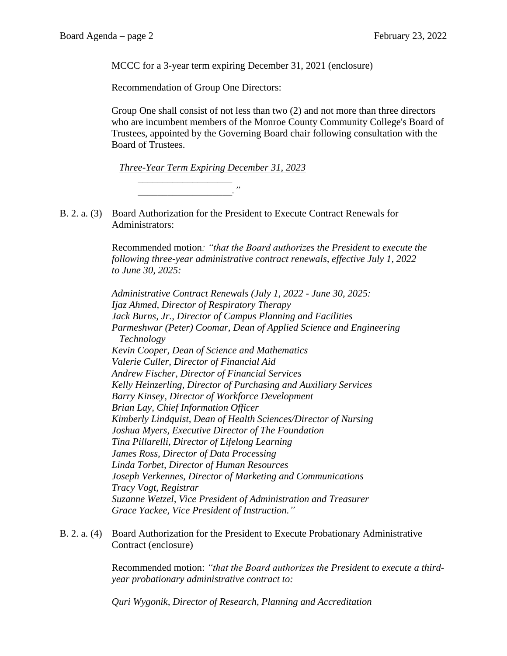MCCC for a 3-year term expiring December 31, 2021 (enclosure)

Recommendation of Group One Directors:

Group One shall consist of not less than two (2) and not more than three directors who are incumbent members of the Monroe County Community College's Board of Trustees, appointed by the Governing Board chair following consultation with the Board of Trustees.

*Three-Year Term Expiring December 31, 2023*

*\_\_\_\_\_\_\_\_\_\_\_\_\_\_\_\_\_\_\_ \_\_\_\_\_\_\_\_\_\_\_\_\_\_\_\_\_\_\_."*

B. 2. a. (3) Board Authorization for the President to Execute Contract Renewals for Administrators:

> Recommended motion*: "that the Board authorizes the President to execute the following three-year administrative contract renewals, effective July 1, 2022 to June 30, 2025:*

*Administrative Contract Renewals (July 1, 2022 - June 30, 2025: Ijaz Ahmed, Director of Respiratory Therapy Jack Burns, Jr., Director of Campus Planning and Facilities Parmeshwar (Peter) Coomar, Dean of Applied Science and Engineering Technology Kevin Cooper, Dean of Science and Mathematics Valerie Culler, Director of Financial Aid Andrew Fischer, Director of Financial Services Kelly Heinzerling, Director of Purchasing and Auxiliary Services Barry Kinsey, Director of Workforce Development Brian Lay, Chief Information Officer Kimberly Lindquist, Dean of Health Sciences/Director of Nursing Joshua Myers, Executive Director of The Foundation Tina Pillarelli, Director of Lifelong Learning James Ross, Director of Data Processing Linda Torbet, Director of Human Resources Joseph Verkennes, Director of Marketing and Communications Tracy Vogt, Registrar Suzanne Wetzel, Vice President of Administration and Treasurer Grace Yackee, Vice President of Instruction."*

B. 2. a. (4) Board Authorization for the President to Execute Probationary Administrative Contract (enclosure)

> Recommended motion: *"that the Board authorizes the President to execute a thirdyear probationary administrative contract to:*

*Quri Wygonik, Director of Research, Planning and Accreditation*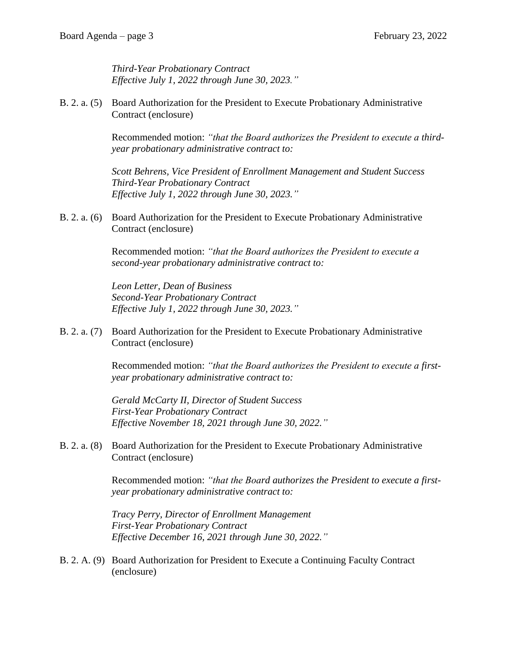*Third-Year Probationary Contract Effective July 1, 2022 through June 30, 2023."*

B. 2. a. (5) Board Authorization for the President to Execute Probationary Administrative Contract (enclosure)

> Recommended motion: *"that the Board authorizes the President to execute a thirdyear probationary administrative contract to:*

*Scott Behrens, Vice President of Enrollment Management and Student Success Third-Year Probationary Contract Effective July 1, 2022 through June 30, 2023."*

B. 2. a. (6) Board Authorization for the President to Execute Probationary Administrative Contract (enclosure)

> Recommended motion: *"that the Board authorizes the President to execute a second-year probationary administrative contract to:*

*Leon Letter, Dean of Business Second-Year Probationary Contract Effective July 1, 2022 through June 30, 2023."*

B. 2. a. (7) Board Authorization for the President to Execute Probationary Administrative Contract (enclosure)

> Recommended motion: *"that the Board authorizes the President to execute a firstyear probationary administrative contract to:*

*Gerald McCarty II, Director of Student Success First-Year Probationary Contract Effective November 18, 2021 through June 30, 2022."*

B. 2. a. (8) Board Authorization for the President to Execute Probationary Administrative Contract (enclosure)

> Recommended motion: *"that the Board authorizes the President to execute a firstyear probationary administrative contract to:*

*Tracy Perry, Director of Enrollment Management First-Year Probationary Contract Effective December 16, 2021 through June 30, 2022."*

B. 2. A. (9) Board Authorization for President to Execute a Continuing Faculty Contract (enclosure)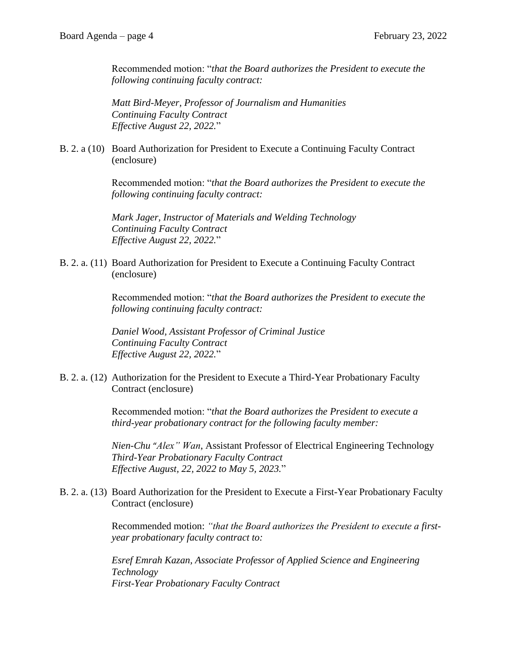Recommended motion: "*that the Board authorizes the President to execute the following continuing faculty contract:*

*Matt Bird-Meyer, Professor of Journalism and Humanities Continuing Faculty Contract Effective August 22, 2022.*"

B. 2. a (10) Board Authorization for President to Execute a Continuing Faculty Contract (enclosure)

> Recommended motion: "*that the Board authorizes the President to execute the following continuing faculty contract:*

*Mark Jager, Instructor of Materials and Welding Technology Continuing Faculty Contract Effective August 22, 2022.*"

B. 2. a. (11) Board Authorization for President to Execute a Continuing Faculty Contract (enclosure)

> Recommended motion: "*that the Board authorizes the President to execute the following continuing faculty contract:*

*Daniel Wood, Assistant Professor of Criminal Justice Continuing Faculty Contract Effective August 22, 2022.*"

B. 2. a. (12) Authorization for the President to Execute a Third-Year Probationary Faculty Contract (enclosure)

> Recommended motion: "*that the Board authorizes the President to execute a third-year probationary contract for the following faculty member:*

*Nien-Chu* "*Alex" Wan*, Assistant Professor of Electrical Engineering Technology *Third-Year Probationary Faculty Contract Effective August, 22, 2022 to May 5, 2023.*"

B. 2. a. (13) Board Authorization for the President to Execute a First-Year Probationary Faculty Contract (enclosure)

> Recommended motion: *"that the Board authorizes the President to execute a firstyear probationary faculty contract to:*

*Esref Emrah Kazan, Associate Professor of Applied Science and Engineering Technology First-Year Probationary Faculty Contract*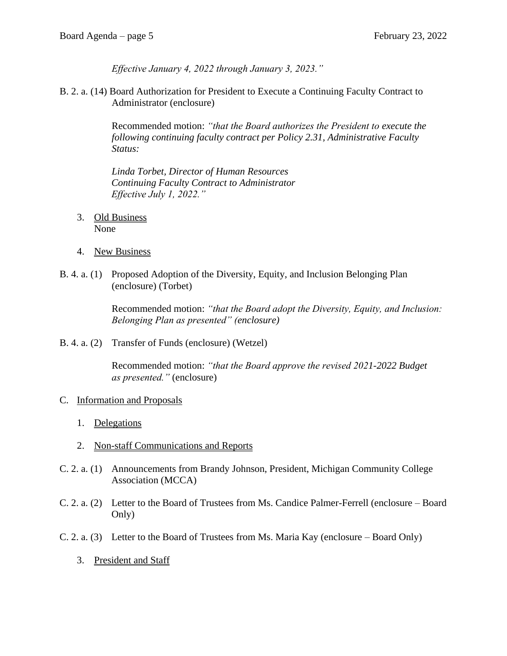*Effective January 4, 2022 through January 3, 2023."* 

B. 2. a. (14) Board Authorization for President to Execute a Continuing Faculty Contract to Administrator (enclosure)

> Recommended motion: *"that the Board authorizes the President to execute the following continuing faculty contract per Policy 2.31, Administrative Faculty Status:*

*Linda Torbet, Director of Human Resources Continuing Faculty Contract to Administrator Effective July 1, 2022."*

- 3. Old Business None
- 4. New Business
- B. 4. a. (1) Proposed Adoption of the Diversity, Equity, and Inclusion Belonging Plan (enclosure) (Torbet)

Recommended motion: *"that the Board adopt the Diversity, Equity, and Inclusion: Belonging Plan as presented" (enclosure)* 

B. 4. a. (2) Transfer of Funds (enclosure) (Wetzel)

Recommended motion: *"that the Board approve the revised 2021-2022 Budget as presented."* (enclosure)

### C. Information and Proposals

- 1. Delegations
- 2. Non-staff Communications and Reports
- C. 2. a. (1) Announcements from Brandy Johnson, President, Michigan Community College Association (MCCA)
- C. 2. a. (2) Letter to the Board of Trustees from Ms. Candice Palmer-Ferrell (enclosure Board Only)
- C. 2. a. (3) Letter to the Board of Trustees from Ms. Maria Kay (enclosure Board Only)
	- 3. President and Staff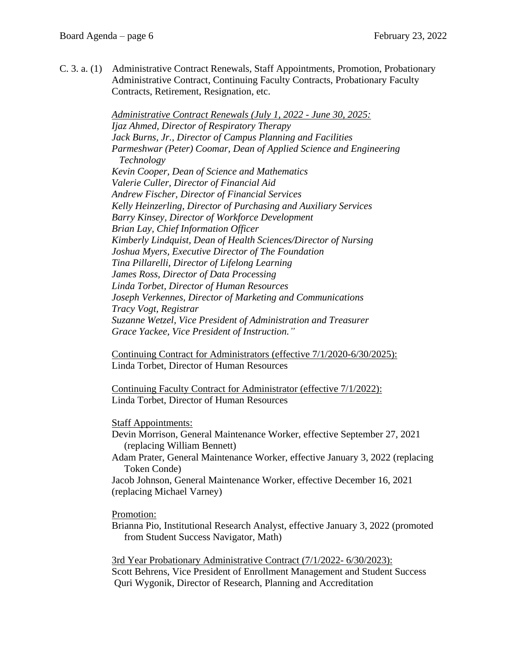C. 3. a. (1) Administrative Contract Renewals, Staff Appointments, Promotion, Probationary Administrative Contract, Continuing Faculty Contracts, Probationary Faculty Contracts, Retirement, Resignation, etc.

> *Administrative Contract Renewals (July 1, 2022 - June 30, 2025: Ijaz Ahmed, Director of Respiratory Therapy Jack Burns, Jr., Director of Campus Planning and Facilities Parmeshwar (Peter) Coomar, Dean of Applied Science and Engineering Technology Kevin Cooper, Dean of Science and Mathematics Valerie Culler, Director of Financial Aid Andrew Fischer, Director of Financial Services Kelly Heinzerling, Director of Purchasing and Auxiliary Services Barry Kinsey, Director of Workforce Development Brian Lay, Chief Information Officer Kimberly Lindquist, Dean of Health Sciences/Director of Nursing Joshua Myers, Executive Director of The Foundation Tina Pillarelli, Director of Lifelong Learning James Ross, Director of Data Processing Linda Torbet, Director of Human Resources Joseph Verkennes, Director of Marketing and Communications Tracy Vogt, Registrar Suzanne Wetzel, Vice President of Administration and Treasurer Grace Yackee, Vice President of Instruction."*

> Continuing Contract for Administrators (effective 7/1/2020-6/30/2025): Linda Torbet, Director of Human Resources

Continuing Faculty Contract for Administrator (effective 7/1/2022): Linda Torbet, Director of Human Resources

#### Staff Appointments:

- Devin Morrison, General Maintenance Worker, effective September 27, 2021 (replacing William Bennett)
- Adam Prater, General Maintenance Worker, effective January 3, 2022 (replacing Token Conde)

 Jacob Johnson, General Maintenance Worker, effective December 16, 2021 (replacing Michael Varney)

Promotion:

 Brianna Pio, Institutional Research Analyst, effective January 3, 2022 (promoted from Student Success Navigator, Math)

 3rd Year Probationary Administrative Contract (7/1/2022- 6/30/2023): Scott Behrens, Vice President of Enrollment Management and Student Success Quri Wygonik, Director of Research, Planning and Accreditation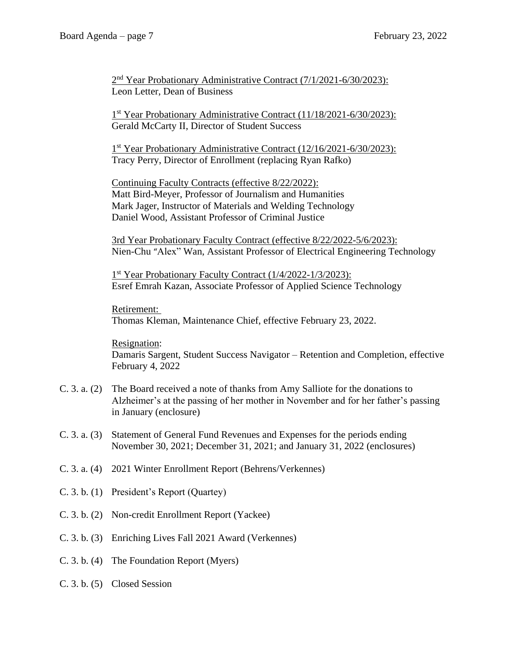2 2<sup>nd</sup> Year Probationary Administrative Contract (7/1/2021-6/30/2023): Leon Letter, Dean of Business

<u>1</u> 1<sup>st</sup> Year Probationary Administrative Contract (11/18/2021-6/30/2023): Gerald McCarty II, Director of Student Success

> 1<sup>st</sup> Year Probationary Administrative Contract (12/16/2021-6/30/2023): Tracy Perry, Director of Enrollment (replacing Ryan Rafko)

 Continuing Faculty Contracts (effective 8/22/2022): Matt Bird-Meyer, Professor of Journalism and Humanities Mark Jager, Instructor of Materials and Welding Technology Daniel Wood, Assistant Professor of Criminal Justice

 3rd Year Probationary Faculty Contract (effective 8/22/2022-5/6/2023): Nien-Chu "Alex" Wan, Assistant Professor of Electrical Engineering Technology

<u>1</u>  $1<sup>st</sup> Year Probability Contract (1/4/2022-1/3/2023):$ Esref Emrah Kazan, Associate Professor of Applied Science Technology

> Retirement: Thomas Kleman, Maintenance Chief, effective February 23, 2022.

 Resignation: Damaris Sargent, Student Success Navigator – Retention and Completion, effective February 4, 2022

- C. 3. a. (2) The Board received a note of thanks from Amy Salliote for the donations to Alzheimer's at the passing of her mother in November and for her father's passing in January (enclosure)
- C. 3. a. (3) Statement of General Fund Revenues and Expenses for the periods ending November 30, 2021; December 31, 2021; and January 31, 2022 (enclosures)
- C. 3. a. (4) 2021 Winter Enrollment Report (Behrens/Verkennes)
- C. 3. b. (1) President's Report (Quartey)
- C. 3. b. (2) Non-credit Enrollment Report (Yackee)
- C. 3. b. (3) Enriching Lives Fall 2021 Award (Verkennes)
- C. 3. b. (4) The Foundation Report (Myers)
- C. 3. b. (5) Closed Session